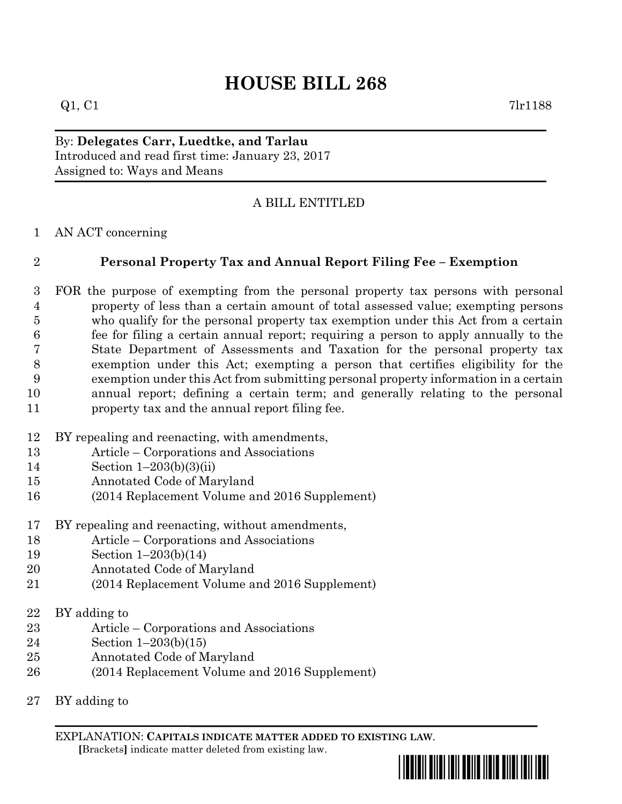## **HOUSE BILL 268**

 $Q1, C1$  7lr1188

By: **Delegates Carr, Luedtke, and Tarlau** Introduced and read first time: January 23, 2017 Assigned to: Ways and Means

## A BILL ENTITLED

AN ACT concerning

## **Personal Property Tax and Annual Report Filing Fee – Exemption**

 FOR the purpose of exempting from the personal property tax persons with personal property of less than a certain amount of total assessed value; exempting persons who qualify for the personal property tax exemption under this Act from a certain fee for filing a certain annual report; requiring a person to apply annually to the State Department of Assessments and Taxation for the personal property tax exemption under this Act; exempting a person that certifies eligibility for the exemption under this Act from submitting personal property information in a certain annual report; defining a certain term; and generally relating to the personal property tax and the annual report filing fee.

- BY repealing and reenacting, with amendments,
- Article Corporations and Associations
- Section 1–203(b)(3)(ii)
- Annotated Code of Maryland
- (2014 Replacement Volume and 2016 Supplement)
- BY repealing and reenacting, without amendments,
- Article Corporations and Associations
- Section 1–203(b)(14)
- Annotated Code of Maryland
- (2014 Replacement Volume and 2016 Supplement)
- BY adding to
- Article Corporations and Associations
- Section 1–203(b)(15)
- Annotated Code of Maryland
- (2014 Replacement Volume and 2016 Supplement)
- BY adding to

EXPLANATION: **CAPITALS INDICATE MATTER ADDED TO EXISTING LAW**.  **[**Brackets**]** indicate matter deleted from existing law.

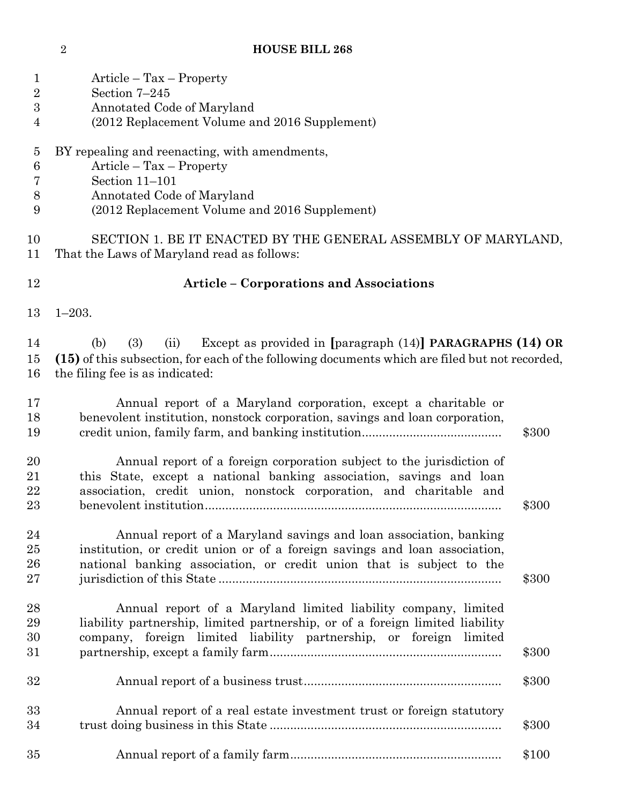## **HOUSE BILL 268**

| $\mathbf 1$<br>$\overline{2}$<br>$\boldsymbol{3}$<br>$\overline{4}$ | $Article - Tax - Property$<br>Section 7-245<br>Annotated Code of Maryland<br>(2012 Replacement Volume and 2016 Supplement)                                                                                                |       |
|---------------------------------------------------------------------|---------------------------------------------------------------------------------------------------------------------------------------------------------------------------------------------------------------------------|-------|
| $\overline{5}$<br>$\boldsymbol{6}$<br>7<br>$8\,$<br>9               | BY repealing and reenacting, with amendments,<br>$Article - Tax - Property$<br>Section 11-101<br>Annotated Code of Maryland<br>(2012 Replacement Volume and 2016 Supplement)                                              |       |
| 10<br>11                                                            | SECTION 1. BE IT ENACTED BY THE GENERAL ASSEMBLY OF MARYLAND,<br>That the Laws of Maryland read as follows:                                                                                                               |       |
| 12                                                                  | <b>Article - Corporations and Associations</b>                                                                                                                                                                            |       |
| 13                                                                  | $1 - 203.$                                                                                                                                                                                                                |       |
| 14<br>15<br>16                                                      | (3)<br>Except as provided in [paragraph $(14)$ ] PARAGRAPHS $(14)$ OR<br>(b)<br>(ii)<br>(15) of this subsection, for each of the following documents which are filed but not recorded,<br>the filing fee is as indicated: |       |
| 17<br>18<br>19                                                      | Annual report of a Maryland corporation, except a charitable or<br>benevolent institution, nonstock corporation, savings and loan corporation,                                                                            | \$300 |
| 20<br>21<br>22<br>23                                                | Annual report of a foreign corporation subject to the jurisdiction of<br>this State, except a national banking association, savings and loan<br>association, credit union, nonstock corporation, and charitable and       | \$300 |
| 24<br>25<br>26<br>27                                                | Annual report of a Maryland savings and loan association, banking<br>institution, or credit union or of a foreign savings and loan association,<br>national banking association, or credit union that is subject to the   | \$300 |
| 28<br>29<br>30<br>31                                                | Annual report of a Maryland limited liability company, limited<br>liability partnership, limited partnership, or of a foreign limited liability<br>company, foreign limited liability partnership, or foreign limited     | \$300 |
| 32                                                                  |                                                                                                                                                                                                                           | \$300 |
| 33<br>34                                                            | Annual report of a real estate investment trust or foreign statutory                                                                                                                                                      | \$300 |
| 35                                                                  |                                                                                                                                                                                                                           | \$100 |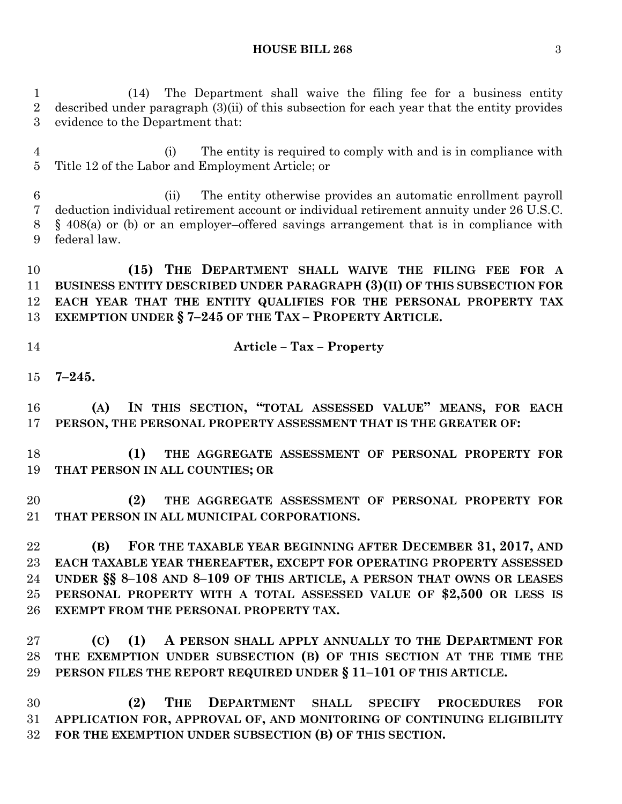**HOUSE BILL 268** 3

 (14) The Department shall waive the filing fee for a business entity described under paragraph (3)(ii) of this subsection for each year that the entity provides evidence to the Department that:

 (i) The entity is required to comply with and is in compliance with Title 12 of the Labor and Employment Article; or

 (ii) The entity otherwise provides an automatic enrollment payroll deduction individual retirement account or individual retirement annuity under 26 U.S.C. § 408(a) or (b) or an employer–offered savings arrangement that is in compliance with federal law.

 **(15) THE DEPARTMENT SHALL WAIVE THE FILING FEE FOR A BUSINESS ENTITY DESCRIBED UNDER PARAGRAPH (3)(II) OF THIS SUBSECTION FOR EACH YEAR THAT THE ENTITY QUALIFIES FOR THE PERSONAL PROPERTY TAX EXEMPTION UNDER § 7–245 OF THE TAX – PROPERTY ARTICLE.**

**Article – Tax – Property**

**7–245.**

 **(A) IN THIS SECTION, "TOTAL ASSESSED VALUE" MEANS, FOR EACH PERSON, THE PERSONAL PROPERTY ASSESSMENT THAT IS THE GREATER OF:**

 **(1) THE AGGREGATE ASSESSMENT OF PERSONAL PROPERTY FOR THAT PERSON IN ALL COUNTIES; OR**

 **(2) THE AGGREGATE ASSESSMENT OF PERSONAL PROPERTY FOR THAT PERSON IN ALL MUNICIPAL CORPORATIONS.**

 **(B) FOR THE TAXABLE YEAR BEGINNING AFTER DECEMBER 31, 2017, AND EACH TAXABLE YEAR THEREAFTER, EXCEPT FOR OPERATING PROPERTY ASSESSED UNDER §§ 8–108 AND 8–109 OF THIS ARTICLE, A PERSON THAT OWNS OR LEASES PERSONAL PROPERTY WITH A TOTAL ASSESSED VALUE OF \$2,500 OR LESS IS EXEMPT FROM THE PERSONAL PROPERTY TAX.**

 **(C) (1) A PERSON SHALL APPLY ANNUALLY TO THE DEPARTMENT FOR THE EXEMPTION UNDER SUBSECTION (B) OF THIS SECTION AT THE TIME THE PERSON FILES THE REPORT REQUIRED UNDER § 11–101 OF THIS ARTICLE.**

 **(2) THE DEPARTMENT SHALL SPECIFY PROCEDURES FOR APPLICATION FOR, APPROVAL OF, AND MONITORING OF CONTINUING ELIGIBILITY FOR THE EXEMPTION UNDER SUBSECTION (B) OF THIS SECTION.**